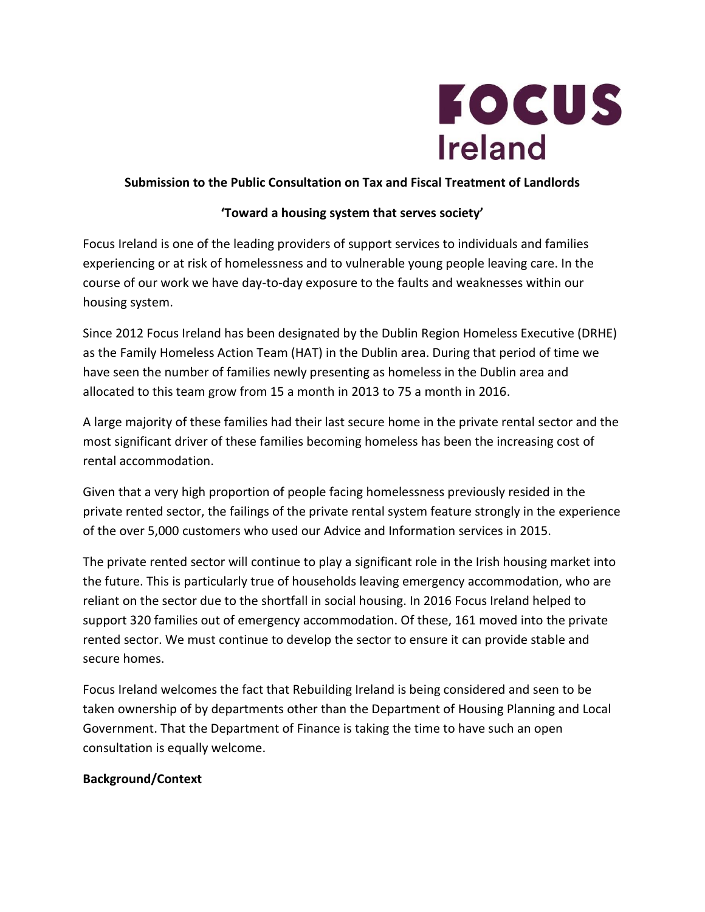

## **Submission to the Public Consultation on Tax and Fiscal Treatment of Landlords**

## **'Toward a housing system that serves society'**

Focus Ireland is one of the leading providers of support services to individuals and families experiencing or at risk of homelessness and to vulnerable young people leaving care. In the course of our work we have day-to-day exposure to the faults and weaknesses within our housing system.

Since 2012 Focus Ireland has been designated by the Dublin Region Homeless Executive (DRHE) as the Family Homeless Action Team (HAT) in the Dublin area. During that period of time we have seen the number of families newly presenting as homeless in the Dublin area and allocated to this team grow from 15 a month in 2013 to 75 a month in 2016.

A large majority of these families had their last secure home in the private rental sector and the most significant driver of these families becoming homeless has been the increasing cost of rental accommodation.

Given that a very high proportion of people facing homelessness previously resided in the private rented sector, the failings of the private rental system feature strongly in the experience of the over 5,000 customers who used our Advice and Information services in 2015.

The private rented sector will continue to play a significant role in the Irish housing market into the future. This is particularly true of households leaving emergency accommodation, who are reliant on the sector due to the shortfall in social housing. In 2016 Focus Ireland helped to support 320 families out of emergency accommodation. Of these, 161 moved into the private rented sector. We must continue to develop the sector to ensure it can provide stable and secure homes.

Focus Ireland welcomes the fact that Rebuilding Ireland is being considered and seen to be taken ownership of by departments other than the Department of Housing Planning and Local Government. That the Department of Finance is taking the time to have such an open consultation is equally welcome.

### **Background/Context**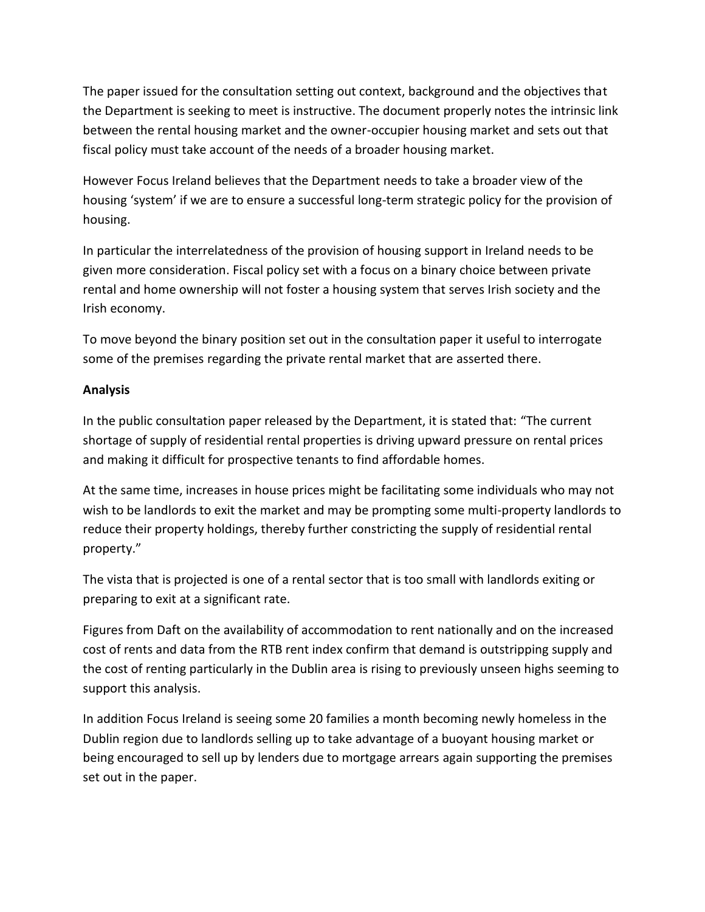The paper issued for the consultation setting out context, background and the objectives that the Department is seeking to meet is instructive. The document properly notes the intrinsic link between the rental housing market and the owner-occupier housing market and sets out that fiscal policy must take account of the needs of a broader housing market.

However Focus Ireland believes that the Department needs to take a broader view of the housing 'system' if we are to ensure a successful long-term strategic policy for the provision of housing.

In particular the interrelatedness of the provision of housing support in Ireland needs to be given more consideration. Fiscal policy set with a focus on a binary choice between private rental and home ownership will not foster a housing system that serves Irish society and the Irish economy.

To move beyond the binary position set out in the consultation paper it useful to interrogate some of the premises regarding the private rental market that are asserted there.

# **Analysis**

In the public consultation paper released by the Department, it is stated that: "The current shortage of supply of residential rental properties is driving upward pressure on rental prices and making it difficult for prospective tenants to find affordable homes.

At the same time, increases in house prices might be facilitating some individuals who may not wish to be landlords to exit the market and may be prompting some multi-property landlords to reduce their property holdings, thereby further constricting the supply of residential rental property."

The vista that is projected is one of a rental sector that is too small with landlords exiting or preparing to exit at a significant rate.

Figures from Daft on the availability of accommodation to rent nationally and on the increased cost of rents and data from the RTB rent index confirm that demand is outstripping supply and the cost of renting particularly in the Dublin area is rising to previously unseen highs seeming to support this analysis.

In addition Focus Ireland is seeing some 20 families a month becoming newly homeless in the Dublin region due to landlords selling up to take advantage of a buoyant housing market or being encouraged to sell up by lenders due to mortgage arrears again supporting the premises set out in the paper.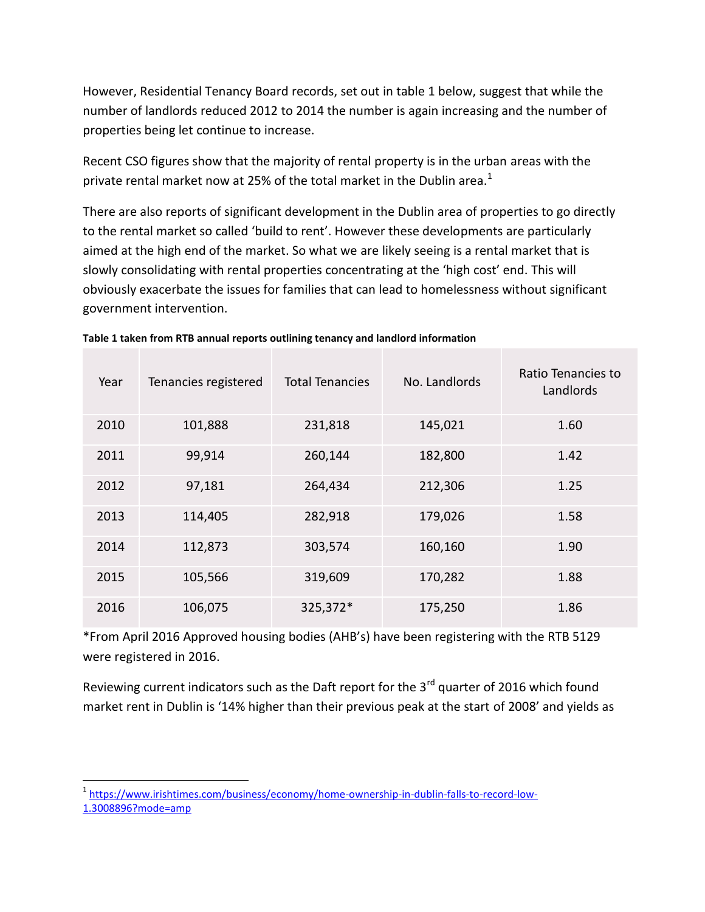However, Residential Tenancy Board records, set out in table 1 below, suggest that while the number of landlords reduced 2012 to 2014 the number is again increasing and the number of properties being let continue to increase.

Recent CSO figures show that the majority of rental property is in the urban areas with the private rental market now at 25% of the total market in the Dublin area. $^1$ 

There are also reports of significant development in the Dublin area of properties to go directly to the rental market so called 'build to rent'. However these developments are particularly aimed at the high end of the market. So what we are likely seeing is a rental market that is slowly consolidating with rental properties concentrating at the 'high cost' end. This will obviously exacerbate the issues for families that can lead to homelessness without significant government intervention.

| Year | Tenancies registered | <b>Total Tenancies</b> | No. Landlords | Ratio Tenancies to<br>Landlords |
|------|----------------------|------------------------|---------------|---------------------------------|
| 2010 | 101,888              | 231,818                | 145,021       | 1.60                            |
| 2011 | 99,914               | 260,144                | 182,800       | 1.42                            |
| 2012 | 97,181               | 264,434                | 212,306       | 1.25                            |
| 2013 | 114,405              | 282,918                | 179,026       | 1.58                            |
| 2014 | 112,873              | 303,574                | 160,160       | 1.90                            |
| 2015 | 105,566              | 319,609                | 170,282       | 1.88                            |
| 2016 | 106,075              | 325,372*               | 175,250       | 1.86                            |

**Table 1 taken from RTB annual reports outlining tenancy and landlord information**

\*From April 2016 Approved housing bodies (AHB's) have been registering with the RTB 5129 were registered in 2016.

Reviewing current indicators such as the Daft report for the  $3<sup>rd</sup>$  quarter of 2016 which found market rent in Dublin is '14% higher than their previous peak at the start of 2008' and yields as

 $\overline{a}$ <sup>1</sup> [https://www.irishtimes.com/business/economy/home-ownership-in-dublin-falls-to-record-low-](https://www.irishtimes.com/business/economy/home-ownership-in-dublin-falls-to-record-low-1.3008896?mode=amp)[1.3008896?mode=amp](https://www.irishtimes.com/business/economy/home-ownership-in-dublin-falls-to-record-low-1.3008896?mode=amp)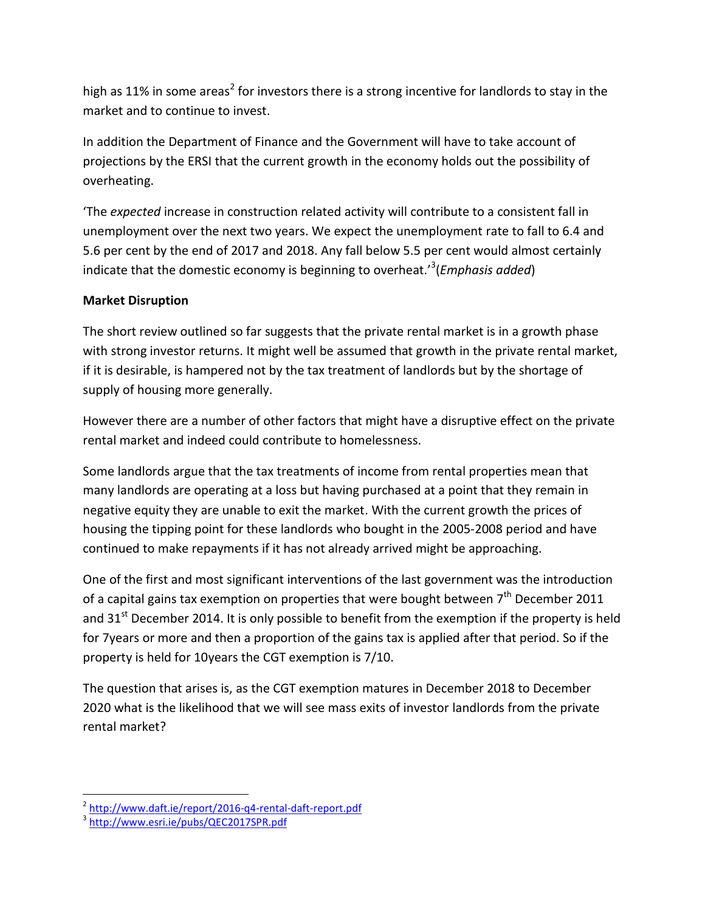high as 11% in some areas<sup>2</sup> for investors there is a strong incentive for landlords to stay in the market and to continue to invest.

In addition the Department of Finance and the Government will have to take account of projections by the ERSI that the current growth in the economy holds out the possibility of overheating.

'The *expected* increase in construction related activity will contribute to a consistent fall in unemployment over the next two years. We expect the unemployment rate to fall to 6.4 and 5.6 per cent by the end of 2017 and 2018. Any fall below 5.5 per cent would almost certainly indicate that the domestic economy is beginning to overheat.'<sup>3</sup> (*Emphasis added*)

# **Market Disruption**

The short review outlined so far suggests that the private rental market is in a growth phase with strong investor returns. It might well be assumed that growth in the private rental market, if it is desirable, is hampered not by the tax treatment of landlords but by the shortage of supply of housing more generally.

However there are a number of other factors that might have a disruptive effect on the private rental market and indeed could contribute to homelessness.

Some landlords argue that the tax treatments of income from rental properties mean that many landlords are operating at a loss but having purchased at a point that they remain in negative equity they are unable to exit the market. With the current growth the prices of housing the tipping point for these landlords who bought in the 2005-2008 period and have continued to make repayments if it has not already arrived might be approaching.

One of the first and most significant interventions of the last government was the introduction of a capital gains tax exemption on properties that were bought between  $7<sup>th</sup>$  December 2011 and  $31<sup>st</sup>$  December 2014. It is only possible to benefit from the exemption if the property is held for 7years or more and then a proportion of the gains tax is applied after that period. So if the property is held for 10years the CGT exemption is 7/10.

The question that arises is, as the CGT exemption matures in December 2018 to December 2020 what is the likelihood that we will see mass exits of investor landlords from the private rental market?

<sup>&</sup>lt;sup>2</sup><br>3 <http://www.daft.ie/report/2016-q4-rental-daft-report.pdf><br><sup>3</sup> <http://www.esri.ie/pubs/QEC2017SPR.pdf>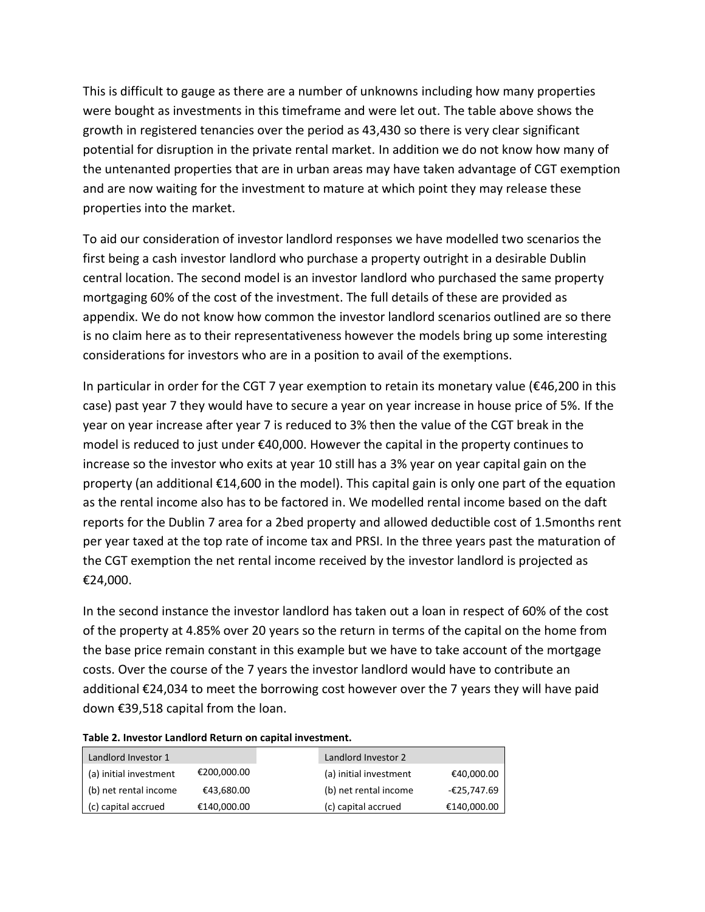This is difficult to gauge as there are a number of unknowns including how many properties were bought as investments in this timeframe and were let out. The table above shows the growth in registered tenancies over the period as 43,430 so there is very clear significant potential for disruption in the private rental market. In addition we do not know how many of the untenanted properties that are in urban areas may have taken advantage of CGT exemption and are now waiting for the investment to mature at which point they may release these properties into the market.

To aid our consideration of investor landlord responses we have modelled two scenarios the first being a cash investor landlord who purchase a property outright in a desirable Dublin central location. The second model is an investor landlord who purchased the same property mortgaging 60% of the cost of the investment. The full details of these are provided as appendix. We do not know how common the investor landlord scenarios outlined are so there is no claim here as to their representativeness however the models bring up some interesting considerations for investors who are in a position to avail of the exemptions.

In particular in order for the CGT 7 year exemption to retain its monetary value ( $\epsilon$ 46,200 in this case) past year 7 they would have to secure a year on year increase in house price of 5%. If the year on year increase after year 7 is reduced to 3% then the value of the CGT break in the model is reduced to just under €40,000. However the capital in the property continues to increase so the investor who exits at year 10 still has a 3% year on year capital gain on the property (an additional €14,600 in the model). This capital gain is only one part of the equation as the rental income also has to be factored in. We modelled rental income based on the daft reports for the Dublin 7 area for a 2bed property and allowed deductible cost of 1.5months rent per year taxed at the top rate of income tax and PRSI. In the three years past the maturation of the CGT exemption the net rental income received by the investor landlord is projected as €24,000.

In the second instance the investor landlord has taken out a loan in respect of 60% of the cost of the property at 4.85% over 20 years so the return in terms of the capital on the home from the base price remain constant in this example but we have to take account of the mortgage costs. Over the course of the 7 years the investor landlord would have to contribute an additional €24,034 to meet the borrowing cost however over the 7 years they will have paid down €39,518 capital from the loan.

| Landlord Investor 1    |             | Landlord Investor 2                  |
|------------------------|-------------|--------------------------------------|
| (a) initial investment | €200,000.00 | (a) initial investment<br>€40,000.00 |
| (b) net rental income  | €43,680.00  | (b) net rental income<br>-€25,747.69 |
| (c) capital accrued    | €140,000.00 | €140,000.00<br>(c) capital accrued   |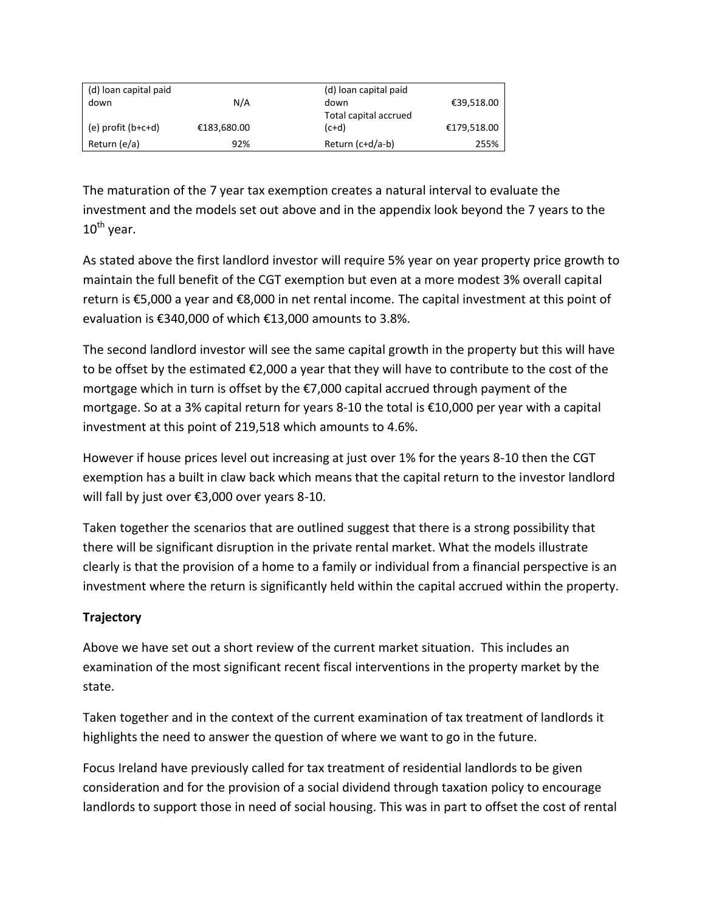| (d) loan capital paid |             | (d) loan capital paid |             |
|-----------------------|-------------|-----------------------|-------------|
| down                  | N/A         | down                  | €39,518.00  |
|                       |             | Total capital accrued |             |
| (e) profit (b+c+d)    | €183,680.00 | $(c+d)$               | €179,518.00 |
| Return (e/a)          | 92%         | Return $(c+d/a-b)$    | 255%        |

The maturation of the 7 year tax exemption creates a natural interval to evaluate the investment and the models set out above and in the appendix look beyond the 7 years to the  $10^{th}$  year.

As stated above the first landlord investor will require 5% year on year property price growth to maintain the full benefit of the CGT exemption but even at a more modest 3% overall capital return is €5,000 a year and €8,000 in net rental income. The capital investment at this point of evaluation is €340,000 of which €13,000 amounts to 3.8%.

The second landlord investor will see the same capital growth in the property but this will have to be offset by the estimated €2,000 a year that they will have to contribute to the cost of the mortgage which in turn is offset by the €7,000 capital accrued through payment of the mortgage. So at a 3% capital return for years 8-10 the total is €10,000 per year with a capital investment at this point of 219,518 which amounts to 4.6%.

However if house prices level out increasing at just over 1% for the years 8-10 then the CGT exemption has a built in claw back which means that the capital return to the investor landlord will fall by just over €3,000 over years 8-10.

Taken together the scenarios that are outlined suggest that there is a strong possibility that there will be significant disruption in the private rental market. What the models illustrate clearly is that the provision of a home to a family or individual from a financial perspective is an investment where the return is significantly held within the capital accrued within the property.

# **Trajectory**

Above we have set out a short review of the current market situation. This includes an examination of the most significant recent fiscal interventions in the property market by the state.

Taken together and in the context of the current examination of tax treatment of landlords it highlights the need to answer the question of where we want to go in the future.

Focus Ireland have previously called for tax treatment of residential landlords to be given consideration and for the provision of a social dividend through taxation policy to encourage landlords to support those in need of social housing. This was in part to offset the cost of rental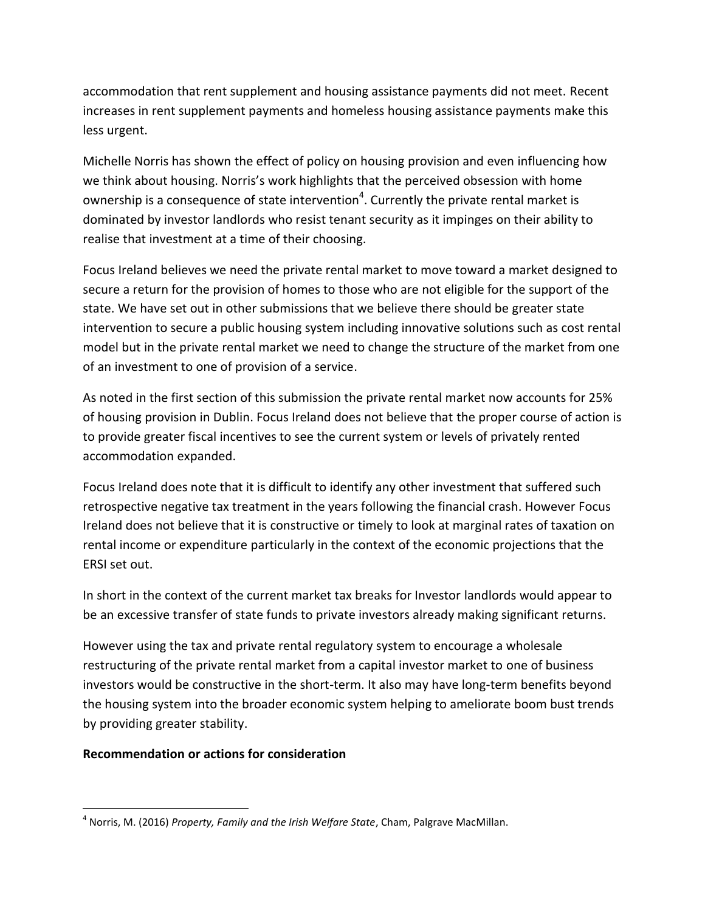accommodation that rent supplement and housing assistance payments did not meet. Recent increases in rent supplement payments and homeless housing assistance payments make this less urgent.

Michelle Norris has shown the effect of policy on housing provision and even influencing how we think about housing. Norris's work highlights that the perceived obsession with home ownership is a consequence of state intervention<sup>4</sup>. Currently the private rental market is dominated by investor landlords who resist tenant security as it impinges on their ability to realise that investment at a time of their choosing.

Focus Ireland believes we need the private rental market to move toward a market designed to secure a return for the provision of homes to those who are not eligible for the support of the state. We have set out in other submissions that we believe there should be greater state intervention to secure a public housing system including innovative solutions such as cost rental model but in the private rental market we need to change the structure of the market from one of an investment to one of provision of a service.

As noted in the first section of this submission the private rental market now accounts for 25% of housing provision in Dublin. Focus Ireland does not believe that the proper course of action is to provide greater fiscal incentives to see the current system or levels of privately rented accommodation expanded.

Focus Ireland does note that it is difficult to identify any other investment that suffered such retrospective negative tax treatment in the years following the financial crash. However Focus Ireland does not believe that it is constructive or timely to look at marginal rates of taxation on rental income or expenditure particularly in the context of the economic projections that the ERSI set out.

In short in the context of the current market tax breaks for Investor landlords would appear to be an excessive transfer of state funds to private investors already making significant returns.

However using the tax and private rental regulatory system to encourage a wholesale restructuring of the private rental market from a capital investor market to one of business investors would be constructive in the short-term. It also may have long-term benefits beyond the housing system into the broader economic system helping to ameliorate boom bust trends by providing greater stability.

# **Recommendation or actions for consideration**

 $\overline{a}$ 4 Norris, M. (2016) *Property, Family and the Irish Welfare State*, Cham, Palgrave MacMillan.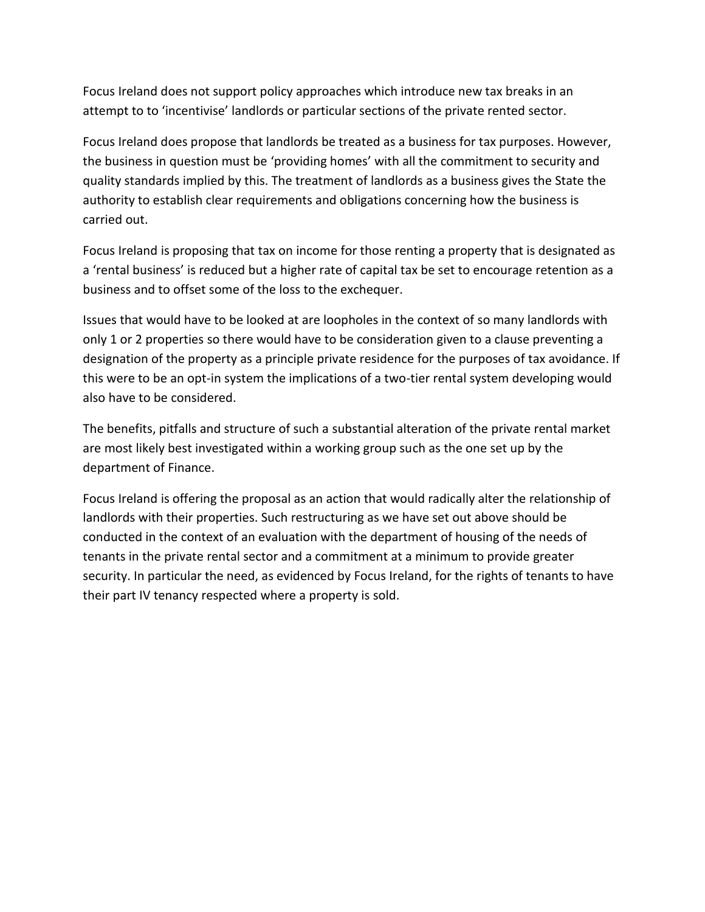Focus Ireland does not support policy approaches which introduce new tax breaks in an attempt to to 'incentivise' landlords or particular sections of the private rented sector.

Focus Ireland does propose that landlords be treated as a business for tax purposes. However, the business in question must be 'providing homes' with all the commitment to security and quality standards implied by this. The treatment of landlords as a business gives the State the authority to establish clear requirements and obligations concerning how the business is carried out.

Focus Ireland is proposing that tax on income for those renting a property that is designated as a 'rental business' is reduced but a higher rate of capital tax be set to encourage retention as a business and to offset some of the loss to the exchequer.

Issues that would have to be looked at are loopholes in the context of so many landlords with only 1 or 2 properties so there would have to be consideration given to a clause preventing a designation of the property as a principle private residence for the purposes of tax avoidance. If this were to be an opt-in system the implications of a two-tier rental system developing would also have to be considered.

The benefits, pitfalls and structure of such a substantial alteration of the private rental market are most likely best investigated within a working group such as the one set up by the department of Finance.

Focus Ireland is offering the proposal as an action that would radically alter the relationship of landlords with their properties. Such restructuring as we have set out above should be conducted in the context of an evaluation with the department of housing of the needs of tenants in the private rental sector and a commitment at a minimum to provide greater security. In particular the need, as evidenced by Focus Ireland, for the rights of tenants to have their part IV tenancy respected where a property is sold.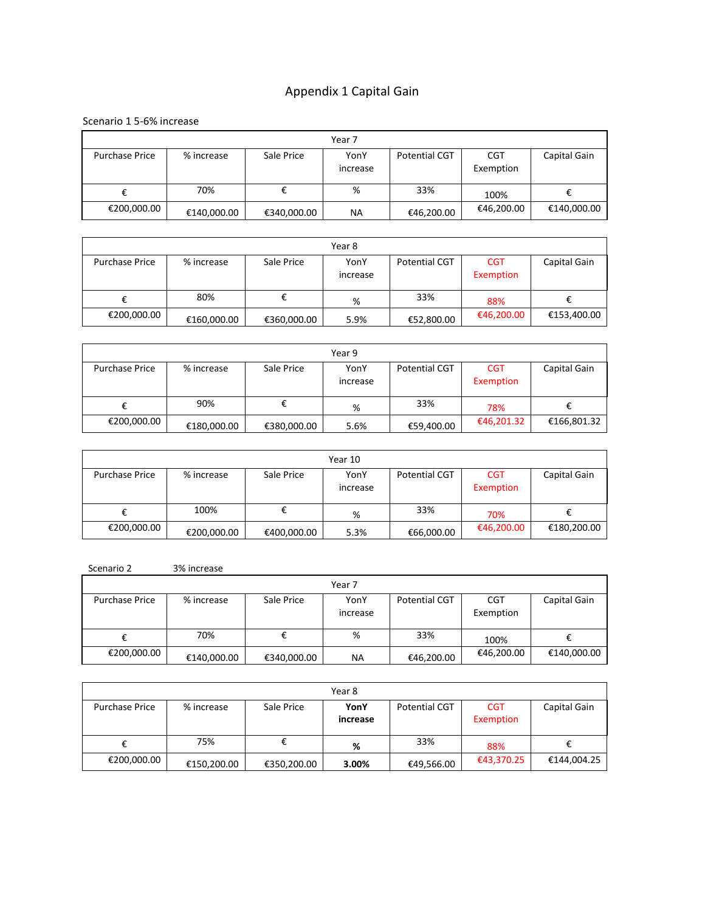# Appendix 1 Capital Gain

Scenario 1 5-6% increase

| Year 7                |             |             |                  |               |                         |              |  |  |
|-----------------------|-------------|-------------|------------------|---------------|-------------------------|--------------|--|--|
| <b>Purchase Price</b> | % increase  | Sale Price  | YonY<br>increase | Potential CGT | <b>CGT</b><br>Exemption | Capital Gain |  |  |
|                       | 70%         |             | %                | 33%           | 100%                    |              |  |  |
| €200,000.00           | €140,000.00 | €340,000.00 | NA               | €46,200.00    | €46,200.00              | €140,000.00  |  |  |

| Year 8                |             |             |                  |                      |                         |              |  |  |
|-----------------------|-------------|-------------|------------------|----------------------|-------------------------|--------------|--|--|
| <b>Purchase Price</b> | % increase  | Sale Price  | YonY<br>increase | <b>Potential CGT</b> | <b>CGT</b><br>Exemption | Capital Gain |  |  |
|                       | 80%         |             | %                | 33%                  | 88%                     |              |  |  |
| €200,000.00           | €160,000.00 | €360,000.00 | 5.9%             | €52,800.00           | €46,200.00              | €153,400.00  |  |  |

| Year 9                |             |             |                  |                      |                         |              |  |  |
|-----------------------|-------------|-------------|------------------|----------------------|-------------------------|--------------|--|--|
| <b>Purchase Price</b> | % increase  | Sale Price  | YonY<br>increase | <b>Potential CGT</b> | <b>CGT</b><br>Exemption | Capital Gain |  |  |
|                       | 90%         |             | %                | 33%                  | 78%                     |              |  |  |
| €200,000.00           | €180,000.00 | €380,000.00 | 5.6%             | €59,400.00           | €46,201.32              | €166,801.32  |  |  |

| Year 10               |             |             |                  |                      |                         |              |  |  |
|-----------------------|-------------|-------------|------------------|----------------------|-------------------------|--------------|--|--|
| <b>Purchase Price</b> | % increase  | Sale Price  | YonY<br>increase | <b>Potential CGT</b> | <b>CGT</b><br>Exemption | Capital Gain |  |  |
|                       | 100%        |             | %                | 33%                  | 70%                     |              |  |  |
| €200,000.00           | €200,000.00 | €400,000.00 | 5.3%             | €66,000.00           | €46,200.00              | €180,200.00  |  |  |

| Scenario 2 | 3% increase |
|------------|-------------|
|            |             |

| Year 7                |             |             |                  |               |                         |              |  |  |
|-----------------------|-------------|-------------|------------------|---------------|-------------------------|--------------|--|--|
| <b>Purchase Price</b> | % increase  | Sale Price  | YonY<br>increase | Potential CGT | <b>CGT</b><br>Exemption | Capital Gain |  |  |
| €                     | 70%         |             | %                | 33%           | 100%                    |              |  |  |
| €200,000.00           | €140,000.00 | €340,000.00 | ΝA               | €46,200.00    | €46,200.00              | €140,000.00  |  |  |

| Year 8                |             |             |                  |               |                         |              |  |  |
|-----------------------|-------------|-------------|------------------|---------------|-------------------------|--------------|--|--|
| <b>Purchase Price</b> | % increase  | Sale Price  | YonY<br>increase | Potential CGT | <b>CGT</b><br>Exemption | Capital Gain |  |  |
|                       | 75%         |             | %                | 33%           | 88%                     |              |  |  |
| €200,000.00           | €150,200.00 | €350,200.00 | 3.00%            | €49,566.00    | €43,370.25              | €144,004.25  |  |  |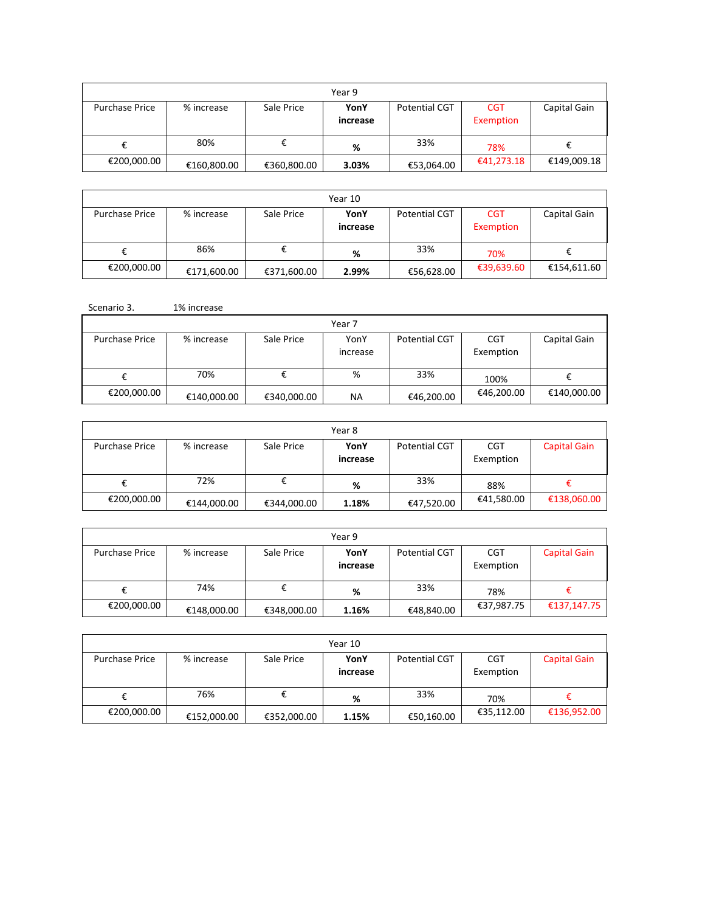| Year 9                |             |             |          |               |            |              |  |  |
|-----------------------|-------------|-------------|----------|---------------|------------|--------------|--|--|
| <b>Purchase Price</b> | % increase  | Sale Price  | YonY     | Potential CGT | <b>CGT</b> | Capital Gain |  |  |
|                       |             |             | increase |               | Exemption  |              |  |  |
|                       | 80%         |             | %        | 33%           | 78%        |              |  |  |
| €200,000.00           | €160,800.00 | €360,800.00 | 3.03%    | €53,064.00    | €41,273.18 | €149,009.18  |  |  |

| Year 10               |             |             |                  |                      |                         |              |  |
|-----------------------|-------------|-------------|------------------|----------------------|-------------------------|--------------|--|
| <b>Purchase Price</b> | % increase  | Sale Price  | YonY<br>increase | <b>Potential CGT</b> | <b>CGT</b><br>Exemption | Capital Gain |  |
|                       | 86%         |             | %                | 33%                  | 70%                     |              |  |
| €200,000.00           | €171,600.00 | €371,600.00 | 2.99%            | €56,628.00           | €39,639.60              | €154,611.60  |  |

| Scenario 3.           | 1% increase |             |                  |                      |                         |              |
|-----------------------|-------------|-------------|------------------|----------------------|-------------------------|--------------|
|                       |             |             | Year 7           |                      |                         |              |
| <b>Purchase Price</b> | % increase  | Sale Price  | YonY<br>increase | <b>Potential CGT</b> | <b>CGT</b><br>Exemption | Capital Gain |
| €                     | 70%         | €           | %                | 33%                  | 100%                    |              |
| €200,000.00           | €140,000.00 | €340,000.00 | NA               | €46,200.00           | €46,200.00              | €140,000.00  |

| Year 8                |             |             |                  |                      |                  |                     |  |  |
|-----------------------|-------------|-------------|------------------|----------------------|------------------|---------------------|--|--|
| <b>Purchase Price</b> | % increase  | Sale Price  | YonY<br>increase | <b>Potential CGT</b> | CGT<br>Exemption | <b>Capital Gain</b> |  |  |
| €                     | 72%         |             | %                | 33%                  | 88%              |                     |  |  |
| €200,000.00           | €144,000.00 | €344,000.00 | 1.18%            | €47,520.00           | €41,580.00       | €138,060.00         |  |  |

| Year 9                |             |             |                  |                      |                  |                     |  |
|-----------------------|-------------|-------------|------------------|----------------------|------------------|---------------------|--|
| <b>Purchase Price</b> | % increase  | Sale Price  | YonY<br>increase | <b>Potential CGT</b> | CGT<br>Exemption | <b>Capital Gain</b> |  |
|                       | 74%         |             | %                | 33%                  | 78%              |                     |  |
| €200,000.00           | €148,000.00 | €348,000.00 | 1.16%            | €48,840.00           | €37,987.75       | €137,147.75         |  |

| Year 10               |             |             |                  |               |                  |                     |  |  |
|-----------------------|-------------|-------------|------------------|---------------|------------------|---------------------|--|--|
| <b>Purchase Price</b> | % increase  | Sale Price  | YonY<br>increase | Potential CGT | CGT<br>Exemption | <b>Capital Gain</b> |  |  |
|                       | 76%         |             | %                | 33%           | 70%              |                     |  |  |
| €200,000.00           | €152,000.00 | €352,000.00 | 1.15%            | €50,160.00    | €35,112.00       | €136,952.00         |  |  |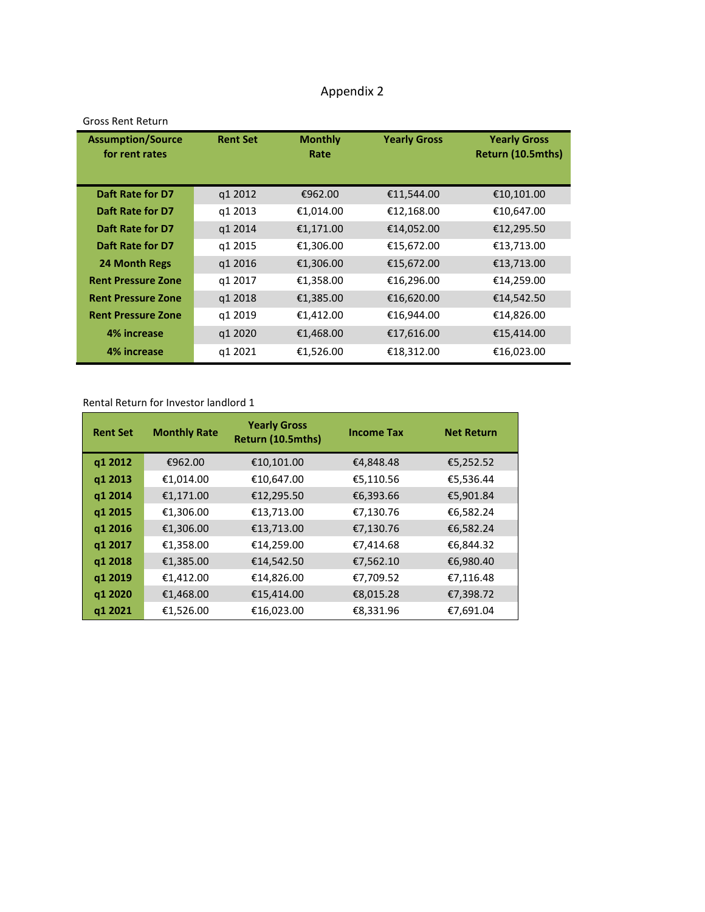# Appendix 2

| <b>Assumption/Source</b><br>for rent rates | <b>Rent Set</b> | <b>Monthly</b><br>Rate | <b>Yearly Gross</b> | <b>Yearly Gross</b><br>Return (10.5mths) |
|--------------------------------------------|-----------------|------------------------|---------------------|------------------------------------------|
| Daft Rate for D7                           | q1 2012         | €962.00                | €11,544.00          | €10,101.00                               |
| Daft Rate for D7                           | q1 2013         | €1,014.00              | €12,168.00          | €10,647.00                               |
| Daft Rate for D7                           | q1 2014         | €1,171.00              | €14,052.00          | €12,295.50                               |
| Daft Rate for D7                           | q1 2015         | €1,306.00              | €15,672.00          | €13,713.00                               |
| 24 Month Regs                              | q1 2016         | €1,306.00              | €15,672.00          | €13,713.00                               |
| <b>Rent Pressure Zone</b>                  | q1 2017         | €1,358.00              | €16,296.00          | €14,259.00                               |
| <b>Rent Pressure Zone</b>                  | q1 2018         | €1,385.00              | €16,620.00          | €14,542.50                               |
| <b>Rent Pressure Zone</b>                  | q1 2019         | €1,412.00              | €16,944.00          | €14,826.00                               |
| 4% increase                                | q1 2020         | €1,468.00              | €17,616.00          | €15,414.00                               |
| 4% increase                                | g1 2021         | €1,526.00              | €18,312.00          | €16,023.00                               |

#### Gross Rent Return

#### Rental Return for Investor landlord 1

| <b>Rent Set</b> | <b>Monthly Rate</b> | <b>Yearly Gross</b><br>Return (10.5mths) | <b>Income Tax</b> | <b>Net Return</b> |
|-----------------|---------------------|------------------------------------------|-------------------|-------------------|
| q1 2012         | €962.00             | €10,101.00                               | €4,848.48         | €5,252.52         |
| q1 2013         | €1,014.00           | €10,647.00                               | €5,110.56         | €5,536.44         |
| q1 2014         | €1,171.00           | €12,295.50                               | €6,393.66         | €5,901.84         |
| q1 2015         | €1,306.00           | €13,713.00                               | €7,130.76         | €6,582.24         |
| q1 2016         | €1,306.00           | €13,713.00                               | €7,130.76         | €6,582.24         |
| q1 2017         | €1,358.00           | €14,259.00                               | €7,414.68         | €6,844.32         |
| q1 2018         | €1,385.00           | €14,542.50                               | €7,562.10         | €6,980.40         |
| q1 2019         | €1,412.00           | €14,826.00                               | €7,709.52         | €7,116.48         |
| q1 2020         | €1,468.00           | €15,414.00                               | €8,015.28         | €7,398.72         |
| q1 2021         | €1,526.00           | €16,023.00                               | €8,331.96         | €7,691.04         |